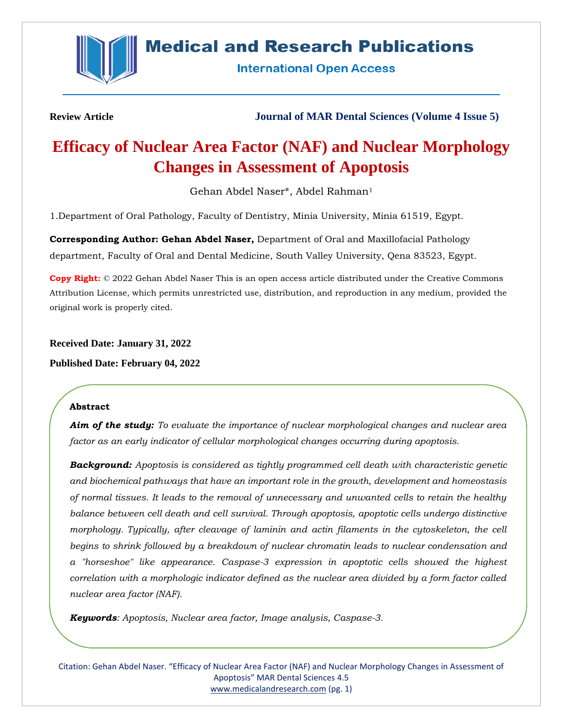

## **Medical and Research Publications**

**International Open Access** 

**Review Article Journal of MAR Dental Sciences (Volume 4 Issue 5)**

# **Efficacy of Nuclear Area Factor (NAF) and Nuclear Morphology Changes in Assessment of Apoptosis**

Gehan Abdel Naser\*, Abdel Rahman<sup>1</sup>

1.Department of Oral Pathology, Faculty of Dentistry, Minia University, Minia 61519, Egypt.

**Corresponding Author: Gehan Abdel Naser,** Department of Oral and Maxillofacial Pathology department, Faculty of Oral and Dental Medicine, South Valley University, Qena 83523, Egypt.

**Copy Right:** © 2022 Gehan Abdel Naser This is an open access article distributed under the Creative Commons Attribution License, which permits unrestricted use, distribution, and reproduction in any medium, provided the original work is properly cited.

**Received Date: January 31, 2022**

**Published Date: February 04, 2022**

## **Abstract**

*Aim of the study: To evaluate the importance of nuclear morphological changes and nuclear area factor as an early indicator of cellular morphological changes occurring during apoptosis.*

*Background: Apoptosis is considered as tightly programmed cell death with characteristic genetic and biochemical pathways that have an important role in the growth, development and homeostasis of normal tissues. It leads to the removal of unnecessary and unwanted cells to retain the healthy balance between cell death and cell survival. Through apoptosis, apoptotic cells undergo distinctive morphology. Typically, after cleavage of laminin and actin filaments in the cytoskeleton, the cell begins to shrink followed by a breakdown of nuclear chromatin leads to nuclear condensation and a "horseshoe" like appearance. Caspase-3 expression in apoptotic cells showed the highest correlation with a morphologic indicator defined as the nuclear area divided by a form factor called nuclear area factor (NAF).*

*Keywords: Apoptosis, Nuclear area factor, Image analysis, Caspase-3.*

Citation: Gehan Abdel Naser. "Efficacy of Nuclear Area Factor (NAF) and Nuclear Morphology Changes in Assessment of Apoptosis" MAR Dental Sciences 4.5 [www.medicalandresearch.com](http://www.medicalandresearch.com/) (pg. 1)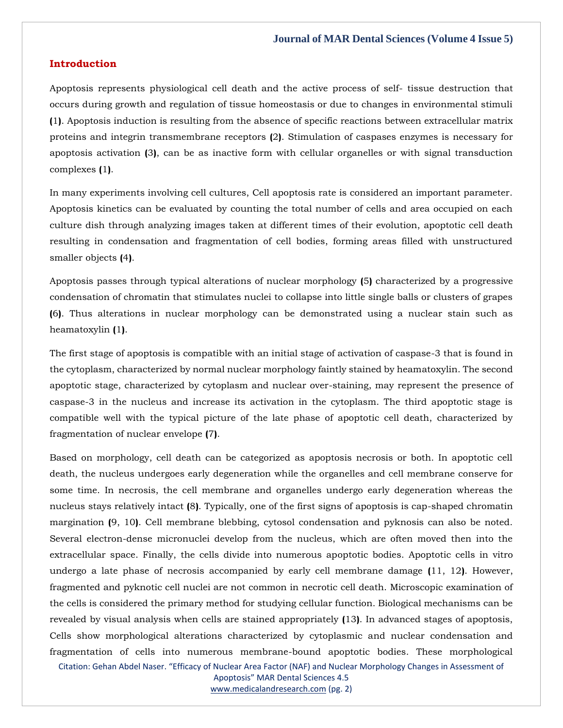## **Introduction**

Apoptosis represents physiological cell death and the active process of self- tissue destruction that occurs during growth and regulation of tissue homeostasis or due to changes in environmental stimuli **(**1**)**. Apoptosis induction is resulting from the absence of specific reactions between extracellular matrix proteins and integrin transmembrane receptors **(**2**)**. Stimulation of caspases enzymes is necessary for apoptosis activation **(**3**)**, can be as inactive form with cellular organelles or with signal transduction complexes **(**1**)**.

In many experiments involving cell cultures, Cell apoptosis rate is considered an important parameter. Apoptosis kinetics can be evaluated by counting the total number of cells and area occupied on each culture dish through analyzing images taken at different times of their evolution, apoptotic cell death resulting in condensation and fragmentation of cell bodies, forming areas filled with unstructured smaller objects **(**4**)**.

Apoptosis passes through typical alterations of nuclear morphology **(**5**)** characterized by a progressive condensation of chromatin that stimulates nuclei to collapse into little single balls or clusters of grapes **(**6**)**. Thus alterations in nuclear morphology can be demonstrated using a nuclear stain such as heamatoxylin **(**1**)**.

The first stage of apoptosis is compatible with an initial stage of activation of caspase-3 that is found in the cytoplasm, characterized by normal nuclear morphology faintly stained by heamatoxylin. The second apoptotic stage, characterized by cytoplasm and nuclear over-staining, may represent the presence of caspase-3 in the nucleus and increase its activation in the cytoplasm. The third apoptotic stage is compatible well with the typical picture of the late phase of apoptotic cell death, characterized by fragmentation of nuclear envelope **(**7**)**.

Based on morphology, cell death can be categorized as apoptosis necrosis or both. In apoptotic cell death, the nucleus undergoes early degeneration while the organelles and cell membrane conserve for some time. In necrosis, the cell membrane and organelles undergo early degeneration whereas the nucleus stays relatively intact **(**8**)**. Typically, one of the first signs of apoptosis is cap-shaped chromatin margination **(**9, 10**)**. Cell membrane blebbing, cytosol condensation and pyknosis can also be noted. Several electron-dense micronuclei develop from the nucleus, which are often moved then into the extracellular space. Finally, the cells divide into numerous apoptotic bodies. Apoptotic cells in vitro undergo a late phase of necrosis accompanied by early cell membrane damage **(**11, 12**)**. However, fragmented and pyknotic cell nuclei are not common in necrotic cell death. Microscopic examination of the cells is considered the primary method for studying cellular function. Biological mechanisms can be revealed by visual analysis when cells are stained appropriately **(**13**)**. In advanced stages of apoptosis, Cells show morphological alterations characterized by cytoplasmic and nuclear condensation and fragmentation of cells into numerous membrane-bound apoptotic bodies. These morphological

Citation: Gehan Abdel Naser. "Efficacy of Nuclear Area Factor (NAF) and Nuclear Morphology Changes in Assessment of

Apoptosis" MAR Dental Sciences 4.5 [www.medicalandresearch.com](http://www.medicalandresearch.com/) (pg. 2)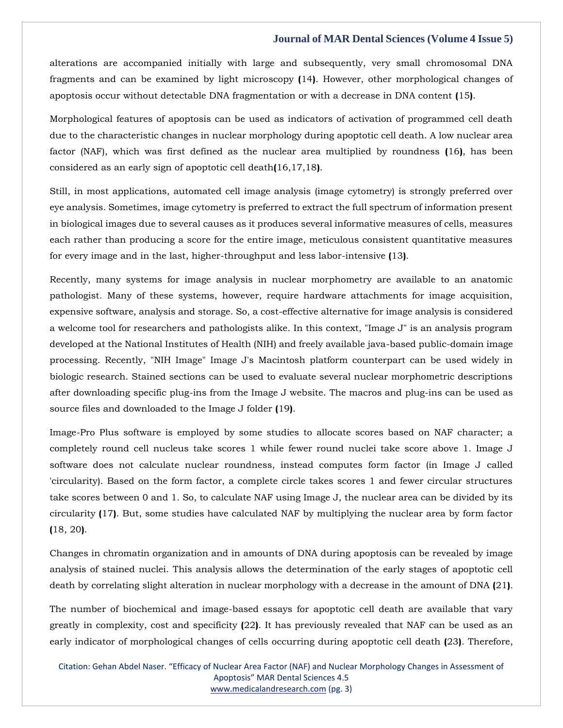alterations are accompanied initially with large and subsequently, very small chromosomal DNA fragments and can be examined by light microscopy **(**14**)**. However, other morphological changes of apoptosis occur without detectable DNA fragmentation or with a decrease in DNA content **(**15**)**.

Morphological features of apoptosis can be used as indicators of activation of programmed cell death due to the characteristic changes in nuclear morphology during apoptotic cell death. A low nuclear area factor (NAF), which was first defined as the nuclear area multiplied by roundness **(**16**)**, has been considered as an early sign of apoptotic cell death**(**16,17,18**)**.

Still, in most applications, automated cell image analysis (image cytometry) is strongly preferred over eye analysis. Sometimes, image cytometry is preferred to extract the full spectrum of information present in biological images due to several causes as it produces several informative measures of cells, measures each rather than producing a score for the entire image, meticulous consistent quantitative measures for every image and in the last, higher-throughput and less labor-intensive **(**13**)**.

Recently, many systems for image analysis in nuclear morphometry are available to an anatomic pathologist. Many of these systems, however, require hardware attachments for image acquisition, expensive software, analysis and storage. So, a cost-effective alternative for image analysis is considered a welcome tool for researchers and pathologists alike. In this context, "Image J" is an analysis program developed at the National Institutes of Health (NIH) and freely available java-based public-domain image processing. Recently, "NIH Image" Image J's Macintosh platform counterpart can be used widely in biologic research. Stained sections can be used to evaluate several nuclear morphometric descriptions after downloading specific plug-ins from the Image J website. The macros and plug-ins can be used as source files and downloaded to the Image J folder **(**19**)**.

Image-Pro Plus software is employed by some studies to allocate scores based on NAF character; a completely round cell nucleus take scores 1 while fewer round nuclei take score above 1. Image J software does not calculate nuclear roundness, instead computes form factor (in Image J called 'circularity). Based on the form factor, a complete circle takes scores 1 and fewer circular structures take scores between 0 and 1. So, to calculate NAF using Image J, the nuclear area can be divided by its circularity **(**17**)**. But, some studies have calculated NAF by multiplying the nuclear area by form factor **(**18, 20**)**.

Changes in chromatin organization and in amounts of DNA during apoptosis can be revealed by image analysis of stained nuclei. This analysis allows the determination of the early stages of apoptotic cell death by correlating slight alteration in nuclear morphology with a decrease in the amount of DNA **(**21**)**.

The number of biochemical and image-based essays for apoptotic cell death are available that vary greatly in complexity, cost and specificity **(**22**)**. It has previously revealed that NAF can be used as an early indicator of morphological changes of cells occurring during apoptotic cell death **(**23**)**. Therefore,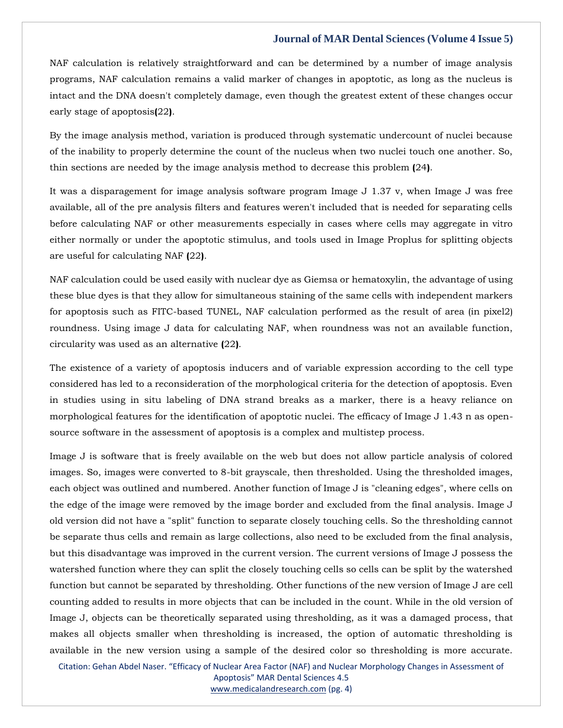NAF calculation is relatively straightforward and can be determined by a number of image analysis programs, NAF calculation remains a valid marker of changes in apoptotic, as long as the nucleus is intact and the DNA doesn't completely damage, even though the greatest extent of these changes occur early stage of apoptosis**(**22**)**.

By the image analysis method, variation is produced through systematic undercount of nuclei because of the inability to properly determine the count of the nucleus when two nuclei touch one another. So, thin sections are needed by the image analysis method to decrease this problem **(**24**)**.

It was a disparagement for image analysis software program Image J 1.37 v, when Image J was free available, all of the pre analysis filters and features weren't included that is needed for separating cells before calculating NAF or other measurements especially in cases where cells may aggregate in vitro either normally or under the apoptotic stimulus, and tools used in Image Proplus for splitting objects are useful for calculating NAF **(**22**)**.

NAF calculation could be used easily with nuclear dye as Giemsa or hematoxylin, the advantage of using these blue dyes is that they allow for simultaneous staining of the same cells with independent markers for apoptosis such as FITC-based TUNEL, NAF calculation performed as the result of area (in pixel2) roundness. Using image J data for calculating NAF, when roundness was not an available function, circularity was used as an alternative **(**22**)**.

The existence of a variety of apoptosis inducers and of variable expression according to the cell type considered has led to a reconsideration of the morphological criteria for the detection of apoptosis. Even in studies using in situ labeling of DNA strand breaks as a marker, there is a heavy reliance on morphological features for the identification of apoptotic nuclei. The efficacy of Image J 1.43 n as opensource software in the assessment of apoptosis is a complex and multistep process.

Image J is software that is freely available on the web but does not allow particle analysis of colored images. So, images were converted to 8-bit grayscale, then thresholded. Using the thresholded images, each object was outlined and numbered. Another function of Image J is "cleaning edges", where cells on the edge of the image were removed by the image border and excluded from the final analysis. Image J old version did not have a "split" function to separate closely touching cells. So the thresholding cannot be separate thus cells and remain as large collections, also need to be excluded from the final analysis, but this disadvantage was improved in the current version. The current versions of Image J possess the watershed function where they can split the closely touching cells so cells can be split by the watershed function but cannot be separated by thresholding. Other functions of the new version of Image J are cell counting added to results in more objects that can be included in the count. While in the old version of Image J, objects can be theoretically separated using thresholding, as it was a damaged process, that makes all objects smaller when thresholding is increased, the option of automatic thresholding is available in the new version using a sample of the desired color so thresholding is more accurate.

Citation: Gehan Abdel Naser. "Efficacy of Nuclear Area Factor (NAF) and Nuclear Morphology Changes in Assessment of Apoptosis" MAR Dental Sciences 4.5 [www.medicalandresearch.com](http://www.medicalandresearch.com/) (pg. 4)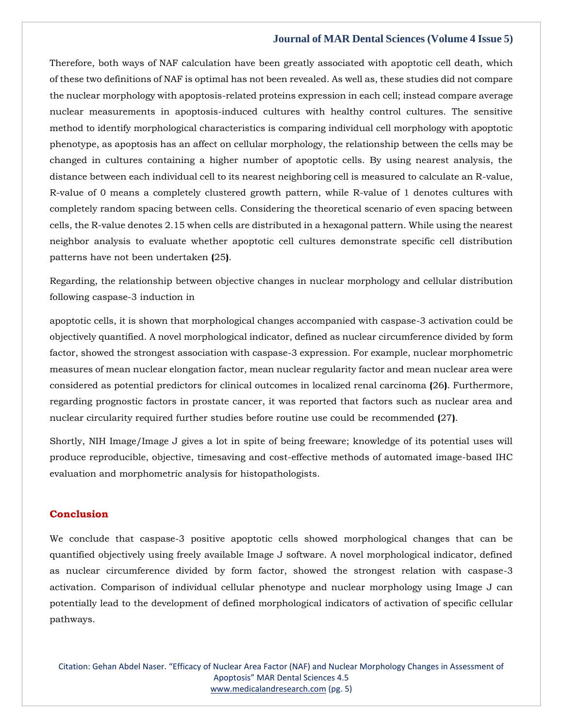Therefore, both ways of NAF calculation have been greatly associated with apoptotic cell death, which of these two definitions of NAF is optimal has not been revealed. As well as, these studies did not compare the nuclear morphology with apoptosis-related proteins expression in each cell; instead compare average nuclear measurements in apoptosis-induced cultures with healthy control cultures. The sensitive method to identify morphological characteristics is comparing individual cell morphology with apoptotic phenotype, as apoptosis has an affect on cellular morphology, the relationship between the cells may be changed in cultures containing a higher number of apoptotic cells. By using nearest analysis, the distance between each individual cell to its nearest neighboring cell is measured to calculate an R-value, R-value of 0 means a completely clustered growth pattern, while R-value of 1 denotes cultures with completely random spacing between cells. Considering the theoretical scenario of even spacing between cells, the R-value denotes 2.15 when cells are distributed in a hexagonal pattern. While using the nearest neighbor analysis to evaluate whether apoptotic cell cultures demonstrate specific cell distribution patterns have not been undertaken **(**25**)**.

Regarding, the relationship between objective changes in nuclear morphology and cellular distribution following caspase-3 induction in

apoptotic cells, it is shown that morphological changes accompanied with caspase-3 activation could be objectively quantified. A novel morphological indicator, defined as nuclear circumference divided by form factor, showed the strongest association with caspase-3 expression. For example, nuclear morphometric measures of mean nuclear elongation factor, mean nuclear regularity factor and mean nuclear area were considered as potential predictors for clinical outcomes in localized renal carcinoma **(**26**)**. Furthermore, regarding prognostic factors in prostate cancer, it was reported that factors such as nuclear area and nuclear circularity required further studies before routine use could be recommended **(**27**)**.

Shortly, NIH Image/Image J gives a lot in spite of being freeware; knowledge of its potential uses will produce reproducible, objective, timesaving and cost-effective methods of automated image-based IHC evaluation and morphometric analysis for histopathologists.

#### **Conclusion**

We conclude that caspase-3 positive apoptotic cells showed morphological changes that can be quantified objectively using freely available Image J software. A novel morphological indicator, defined as nuclear circumference divided by form factor, showed the strongest relation with caspase-3 activation. Comparison of individual cellular phenotype and nuclear morphology using Image J can potentially lead to the development of defined morphological indicators of activation of specific cellular pathways.

Citation: Gehan Abdel Naser. "Efficacy of Nuclear Area Factor (NAF) and Nuclear Morphology Changes in Assessment of Apoptosis" MAR Dental Sciences 4.5 [www.medicalandresearch.com](http://www.medicalandresearch.com/) (pg. 5)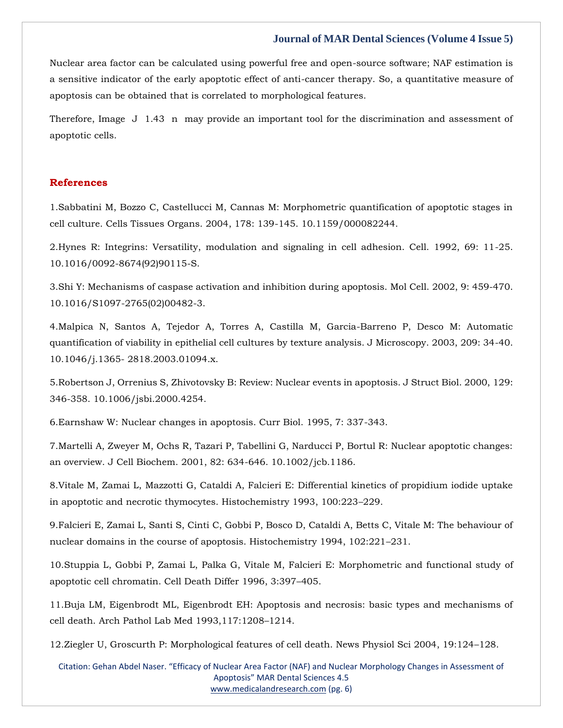Nuclear area factor can be calculated using powerful free and open-source software; NAF estimation is a sensitive indicator of the early apoptotic effect of anti-cancer therapy. So, a quantitative measure of apoptosis can be obtained that is correlated to morphological features.

Therefore, Image J 1.43 n may provide an important tool for the discrimination and assessment of apoptotic cells.

## **References**

1[.Sabbatini M, Bozzo C, Castellucci M, Cannas M: Morphometric quantification of apoptotic stages in](https://www.google.com/search?q=Morphometric+quantification+of+apoptotic+stages+in+cell+culture&oq=Morphometric+quantification+of+apoptotic+stages+in+cell+culture&aqs=chrome..69i57.330j0j7&sourceid=chrome&ie=UTF-8)  [cell culture. Cells Tissues Organs. 2004, 178: 139-145. 10.1159/000082244.](https://www.google.com/search?q=Morphometric+quantification+of+apoptotic+stages+in+cell+culture&oq=Morphometric+quantification+of+apoptotic+stages+in+cell+culture&aqs=chrome..69i57.330j0j7&sourceid=chrome&ie=UTF-8)

2[.Hynes R: Integrins: Versatility, modulation and signaling in cell adhesion. Cell. 1992, 69: 11-25.](https://www.google.com/search?q=Integrins%3A+Versatility%2C+modulation+and+signaling+in+cell+adhesion&sxsrf=APq-WBtQfd6RFEmsEMXwzAWcD0hEiLEu_Q%3A1643710836874&ei=dAn5YZfvNJ6SseMP-7220Ac&ved=0ahUKEwiX-a2EpN71AhUeSWwGHfueDXoQ4dUDCA4&uact=5&oq=Integrins%3A+Versatility%2C+modulation+and+signaling+in+cell+adhesion&gs_lcp=Cgdnd3Mtd2l6EAMyBQgAEIAEOgcIIxDqAhAnSgQIQRgASgQIRhgAUKcGWKcGYJ4IaAFwAngAgAHiAYgB4gGSAQMyLTGYAQCgAQGgAQKwAQrAAQE&sclient=gws-wiz)  [10.1016/0092-8674\(92\)90115-S.](https://www.google.com/search?q=Integrins%3A+Versatility%2C+modulation+and+signaling+in+cell+adhesion&sxsrf=APq-WBtQfd6RFEmsEMXwzAWcD0hEiLEu_Q%3A1643710836874&ei=dAn5YZfvNJ6SseMP-7220Ac&ved=0ahUKEwiX-a2EpN71AhUeSWwGHfueDXoQ4dUDCA4&uact=5&oq=Integrins%3A+Versatility%2C+modulation+and+signaling+in+cell+adhesion&gs_lcp=Cgdnd3Mtd2l6EAMyBQgAEIAEOgcIIxDqAhAnSgQIQRgASgQIRhgAUKcGWKcGYJ4IaAFwAngAgAHiAYgB4gGSAQMyLTGYAQCgAQGgAQKwAQrAAQE&sclient=gws-wiz)

3[.Shi Y: Mechanisms of caspase activation and inhibition during](https://www.google.com/search?q=Mechanisms+of+caspase+activation+and+inhibition+during+apoptosis&sxsrf=APq-WBsjYMAd95_jho2X0yt9nuiiZL1paw%3A1643710856317&ei=iAn5YZzAErCQseMP1o2AiAw&ved=0ahUKEwicpNCNpN71AhUwSGwGHdYGAMEQ4dUDCA4&uact=5&oq=Mechanisms+of+caspase+activation+and+inhibition+during+apoptosis&gs_lcp=Cgdnd3Mtd2l6EAMyBggAEBYQHjoHCCMQ6gIQJ0oECEEYAEoECEYYAFCtIVitIWD_I2gBcAB4AIABzgGIAc4BkgEDMi0xmAEAoAEBoAECsAEKwAEB&sclient=gws-wiz) apoptosis. Mol Cell. 2002, 9: 459-470. [10.1016/S1097-2765\(02\)00482-3.](https://www.google.com/search?q=Mechanisms+of+caspase+activation+and+inhibition+during+apoptosis&sxsrf=APq-WBsjYMAd95_jho2X0yt9nuiiZL1paw%3A1643710856317&ei=iAn5YZzAErCQseMP1o2AiAw&ved=0ahUKEwicpNCNpN71AhUwSGwGHdYGAMEQ4dUDCA4&uact=5&oq=Mechanisms+of+caspase+activation+and+inhibition+during+apoptosis&gs_lcp=Cgdnd3Mtd2l6EAMyBggAEBYQHjoHCCMQ6gIQJ0oECEEYAEoECEYYAFCtIVitIWD_I2gBcAB4AIABzgGIAc4BkgEDMi0xmAEAoAEBoAECsAEKwAEB&sclient=gws-wiz)

4[.Malpica N, Santos A, Tejedor A, Torres A, Castilla M, Garcia-Barreno P, Desco M: Automatic](https://www.google.com/search?q=Automatic+quantification+of+viability+in+epithelial+cell+cultures+by+texture+analysis&sxsrf=APq-WBt0fUkrPpEjQ3DrOzRErt4t_VQH7A%3A1643710875031&ei=mwn5YbNl2Jax4w-x3aboAg&ved=0ahUKEwjznsaWpN71AhVYS2wGHbGuCS0Q4dUDCA4&uact=5&oq=Automatic+quantification+of+viability+in+epithelial+cell+cultures+by+texture+analysis&gs_lcp=Cgdnd3Mtd2l6EAM6BwgjEOoCECdKBAhBGABKBAhGGABQpQZYpQZgtghoAXACeACAAdIBiAHSAZIBAzItMZgBAKABAaABArABCsABAQ&sclient=gws-wiz)  [quantification of viability in epithelial cell cultures by texture analysis. J Microscopy. 2003, 209: 34-40.](https://www.google.com/search?q=Automatic+quantification+of+viability+in+epithelial+cell+cultures+by+texture+analysis&sxsrf=APq-WBt0fUkrPpEjQ3DrOzRErt4t_VQH7A%3A1643710875031&ei=mwn5YbNl2Jax4w-x3aboAg&ved=0ahUKEwjznsaWpN71AhVYS2wGHbGuCS0Q4dUDCA4&uact=5&oq=Automatic+quantification+of+viability+in+epithelial+cell+cultures+by+texture+analysis&gs_lcp=Cgdnd3Mtd2l6EAM6BwgjEOoCECdKBAhBGABKBAhGGABQpQZYpQZgtghoAXACeACAAdIBiAHSAZIBAzItMZgBAKABAaABArABCsABAQ&sclient=gws-wiz)  10.1046/j.1365- [2818.2003.01094.x.](https://www.google.com/search?q=Automatic+quantification+of+viability+in+epithelial+cell+cultures+by+texture+analysis&sxsrf=APq-WBt0fUkrPpEjQ3DrOzRErt4t_VQH7A%3A1643710875031&ei=mwn5YbNl2Jax4w-x3aboAg&ved=0ahUKEwjznsaWpN71AhVYS2wGHbGuCS0Q4dUDCA4&uact=5&oq=Automatic+quantification+of+viability+in+epithelial+cell+cultures+by+texture+analysis&gs_lcp=Cgdnd3Mtd2l6EAM6BwgjEOoCECdKBAhBGABKBAhGGABQpQZYpQZgtghoAXACeACAAdIBiAHSAZIBAzItMZgBAKABAaABArABCsABAQ&sclient=gws-wiz)

5[.Robertson J, Orrenius S, Zhivotovsky B: Review: Nuclear events in apoptosis. J Struct Biol. 2000,](https://www.google.com/search?q=Review%3A+Nuclear+events+in+apoptosis&sxsrf=APq-WBsBTTjADAxjRs8hsHdksraTeUtWjw%3A1643710940100&ei=3An5Yaa-BauaseMPyPOCwA4&ved=0ahUKEwimnMq1pN71AhUrTWwGHci5AOgQ4dUDCA4&uact=5&oq=Review%3A+Nuclear+events+in+apoptosis&gs_lcp=Cgdnd3Mtd2l6EAM6BwgjEOoCECdKBAhBGABKBAhGGABQpwZYpwZghgloAXAAeACAAZUCiAGVApIBAzItMZgBAKABAaABArABCsABAQ&sclient=gws-wiz) 129: [346-358. 10.1006/jsbi.2000.4254.](https://www.google.com/search?q=Review%3A+Nuclear+events+in+apoptosis&sxsrf=APq-WBsBTTjADAxjRs8hsHdksraTeUtWjw%3A1643710940100&ei=3An5Yaa-BauaseMPyPOCwA4&ved=0ahUKEwimnMq1pN71AhUrTWwGHci5AOgQ4dUDCA4&uact=5&oq=Review%3A+Nuclear+events+in+apoptosis&gs_lcp=Cgdnd3Mtd2l6EAM6BwgjEOoCECdKBAhBGABKBAhGGABQpwZYpwZghgloAXAAeACAAZUCiAGVApIBAzItMZgBAKABAaABArABCsABAQ&sclient=gws-wiz)

6[.Earnshaw W: Nuclear changes in apoptosis. Curr Biol. 1995, 7: 337-343.](https://www.google.com/search?q=Nuclear+changes+in+apoptosis&sxsrf=APq-WBuA6hthtmA-Ef18d_z6GHmKQYgoVg%3A1643710958402&ei=7gn5YcCMGN2XseMP25uOwAs&ved=0ahUKEwjAu6e-pN71AhXdS2wGHduNA7gQ4dUDCA4&uact=5&oq=Nuclear+changes+in+apoptosis&gs_lcp=Cgdnd3Mtd2l6EAMyBQgAEIAEOgcIIxDqAhAnSgQIQRgASgQIRhgAUM0FWM0FYLYHaAFwAHgAgAGzAYgBswGSAQMwLjGYAQCgAQGgAQKwAQrAAQE&sclient=gws-wiz)

7[.Martelli A, Zweyer M, Ochs R, Tazari P, Tabellini G, Narducci P, Bortul R: Nuclear apoptotic changes:](https://www.google.com/search?q=Nuclear+apoptotic+changes%3A+an+overview&sxsrf=APq-WBtTqdbxB3le7V1-VaQBolL4IicfIA%3A1643710974747&ei=_gn5YeTvLN2bseMPup-IsA4&ved=0ahUKEwjk5ozGpN71AhXdTWwGHboPAuYQ4dUDCA4&uact=5&oq=Nuclear+apoptotic+changes%3A+an+overview&gs_lcp=Cgdnd3Mtd2l6EAMyBwgjEOoCECcyBwgjEOoCECcyBwgjEOoCECcyBwgjEOoCECcyBwgjEOoCECcyBwgjEOoCECcyBwgjEOoCECcyBwgjEOoCECcyBwgjEOoCECcyBwgjEOoCECdKBAhBGABKBAhGGABQggVYggVg_QZoAXACeACAAQCIAQCSAQCYAQCgAQGgAQKwAQrAAQE&sclient=gws-wiz)  [an overview. J Cell Biochem. 2001, 82: 634-646. 10.1002/jcb.1186.](https://www.google.com/search?q=Nuclear+apoptotic+changes%3A+an+overview&sxsrf=APq-WBtTqdbxB3le7V1-VaQBolL4IicfIA%3A1643710974747&ei=_gn5YeTvLN2bseMPup-IsA4&ved=0ahUKEwjk5ozGpN71AhXdTWwGHboPAuYQ4dUDCA4&uact=5&oq=Nuclear+apoptotic+changes%3A+an+overview&gs_lcp=Cgdnd3Mtd2l6EAMyBwgjEOoCECcyBwgjEOoCECcyBwgjEOoCECcyBwgjEOoCECcyBwgjEOoCECcyBwgjEOoCECcyBwgjEOoCECcyBwgjEOoCECcyBwgjEOoCECcyBwgjEOoCECdKBAhBGABKBAhGGABQggVYggVg_QZoAXACeACAAQCIAQCSAQCYAQCgAQGgAQKwAQrAAQE&sclient=gws-wiz)

8[.Vitale M, Zamai L, Mazzotti G, Cataldi A, Falcieri E: Differential kinetics of propidium iodide uptake](https://www.google.com/search?q=Differential+kinetics+of+propidium+iodide+uptake+in+apoptotic+and+necrotic+thymocytes&sxsrf=APq-WBskT3XNKPY_c1vlilaMU2y9a2HsLg%3A1643710989956&ei=DQr5YYLOOYSXseMPpfu48AU&ved=0ahUKEwjCiK3NpN71AhWES2wGHaU9Dl4Q4dUDCA4&uact=5&oq=Differential+kinetics+of+propidium+iodide+uptake+in+apoptotic+and+necrotic+thymocytes&gs_lcp=Cgdnd3Mtd2l6EAMyBwgjEOoCECcyBwgjEOoCECcyBwgjEOoCECcyBwgjEOoCECcyBwgjEOoCECcyBwgjEOoCECcyBwgjEOoCECcyBwgjEOoCECcyBwgjEOoCECcyBwgjEOoCECdKBAhBGABKBAhGGABQmwVYmwVg_gZoAXACeACAAQCIAQCSAQCYAQCgAQGgAQKwAQrAAQE&sclient=gws-wiz)  [in apoptotic and necrotic thymocytes. Histochemistry 1993, 100:223](https://www.google.com/search?q=Differential+kinetics+of+propidium+iodide+uptake+in+apoptotic+and+necrotic+thymocytes&sxsrf=APq-WBskT3XNKPY_c1vlilaMU2y9a2HsLg%3A1643710989956&ei=DQr5YYLOOYSXseMPpfu48AU&ved=0ahUKEwjCiK3NpN71AhWES2wGHaU9Dl4Q4dUDCA4&uact=5&oq=Differential+kinetics+of+propidium+iodide+uptake+in+apoptotic+and+necrotic+thymocytes&gs_lcp=Cgdnd3Mtd2l6EAMyBwgjEOoCECcyBwgjEOoCECcyBwgjEOoCECcyBwgjEOoCECcyBwgjEOoCECcyBwgjEOoCECcyBwgjEOoCECcyBwgjEOoCECcyBwgjEOoCECcyBwgjEOoCECdKBAhBGABKBAhGGABQmwVYmwVg_gZoAXACeACAAQCIAQCSAQCYAQCgAQGgAQKwAQrAAQE&sclient=gws-wiz)–229.

9[.Falcieri E, Zamai L, Santi S, Cinti C, Gobbi P, Bosco D, Cataldi A, Betts C, Vitale M: The behaviour of](https://www.google.com/search?q=The+behaviour+of+nuclear+domains+in+the+course+of+apoptosis&sxsrf=APq-WBvdCyjd89inXnkC9-wtxxQ36LGwGw%3A1643711005154&ei=HQr5Yd_bCLqTseMPlLiZiAw&ved=0ahUKEwif3szUpN71AhW6SWwGHRRcBsEQ4dUDCA4&uact=5&oq=The+behaviour+of+nuclear+domains+in+the+course+of+apoptosis&gs_lcp=Cgdnd3Mtd2l6EAM6BwgjEOoCECdKBAhBGABKBAhGGABQ2gVY2gVglghoAXAAeACAAYoCiAGKApIBAzItMZgBAKABAaABArABCsABAQ&sclient=gws-wiz)  [nuclear domains in the course of apoptosis. Histochemistry 1994, 102:221](https://www.google.com/search?q=The+behaviour+of+nuclear+domains+in+the+course+of+apoptosis&sxsrf=APq-WBvdCyjd89inXnkC9-wtxxQ36LGwGw%3A1643711005154&ei=HQr5Yd_bCLqTseMPlLiZiAw&ved=0ahUKEwif3szUpN71AhW6SWwGHRRcBsEQ4dUDCA4&uact=5&oq=The+behaviour+of+nuclear+domains+in+the+course+of+apoptosis&gs_lcp=Cgdnd3Mtd2l6EAM6BwgjEOoCECdKBAhBGABKBAhGGABQ2gVY2gVglghoAXAAeACAAYoCiAGKApIBAzItMZgBAKABAaABArABCsABAQ&sclient=gws-wiz)–231.

10[.Stuppia L, Gobbi P, Zamai L, Palka G, Vitale M, Falcieri E: Morphometric and functional study of](https://www.google.com/search?q=Morphometric+and+functional+study+of+apoptotic+cell+chromatin&sxsrf=APq-WBvB6Fa0rl2XJn22O9XjG1L8yzGbvw%3A1643711021046&ei=LQr5YY6fAo2QseMPxLSLmAI&ved=0ahUKEwjO6ZbcpN71AhUNSGwGHUTaAiMQ4dUDCA4&uact=5&oq=Morphometric+and+functional+study+of+apoptotic+cell+chromatin&gs_lcp=Cgdnd3Mtd2l6EAM6BwgjEOoCECdKBAhBGABKBAhGGABQswVYswVg_gdoAXAAeACAAcgBiAHIAZIBAzItMZgBAKABAaABArABCsABAQ&sclient=gws-wiz)  [apoptotic cell chromatin. Cell Death Differ 1996, 3:397](https://www.google.com/search?q=Morphometric+and+functional+study+of+apoptotic+cell+chromatin&sxsrf=APq-WBvB6Fa0rl2XJn22O9XjG1L8yzGbvw%3A1643711021046&ei=LQr5YY6fAo2QseMPxLSLmAI&ved=0ahUKEwjO6ZbcpN71AhUNSGwGHUTaAiMQ4dUDCA4&uact=5&oq=Morphometric+and+functional+study+of+apoptotic+cell+chromatin&gs_lcp=Cgdnd3Mtd2l6EAM6BwgjEOoCECdKBAhBGABKBAhGGABQswVYswVg_gdoAXAAeACAAcgBiAHIAZIBAzItMZgBAKABAaABArABCsABAQ&sclient=gws-wiz)–405.

11[.Buja LM, Eigenbrodt ML, Eigenbrodt EH: Apoptosis and necrosis: basic types and mechanisms of](https://www.google.com/search?q=Apoptosis+and+necrosis%3A+basic+types+and+mechanisms+of+cell+death&sxsrf=APq-WBt8-B-7aZfRvvKuD2wTD32XFszmAg%3A1643711036310&ei=PAr5YYKNEsOgseMPpM2OgAg&ved=0ahUKEwiCm7rjpN71AhVDUGwGHaSmA4AQ4dUDCA4&uact=5&oq=Apoptosis+and+necrosis%3A+basic+types+and+mechanisms+of+cell+death&gs_lcp=Cgdnd3Mtd2l6EAMyBggAEBYQHjoHCCMQ6gIQJ0oECEEYAEoECEYYAFCjBVijBWDGB2gBcAB4AIABzAGIAcwBkgEDMi0xmAEAoAEBoAECsAEKwAEB&sclient=gws-wiz)  [cell death. Arch Pathol Lab Med 1993,117:1208](https://www.google.com/search?q=Apoptosis+and+necrosis%3A+basic+types+and+mechanisms+of+cell+death&sxsrf=APq-WBt8-B-7aZfRvvKuD2wTD32XFszmAg%3A1643711036310&ei=PAr5YYKNEsOgseMPpM2OgAg&ved=0ahUKEwiCm7rjpN71AhVDUGwGHaSmA4AQ4dUDCA4&uact=5&oq=Apoptosis+and+necrosis%3A+basic+types+and+mechanisms+of+cell+death&gs_lcp=Cgdnd3Mtd2l6EAMyBggAEBYQHjoHCCMQ6gIQJ0oECEEYAEoECEYYAFCjBVijBWDGB2gBcAB4AIABzAGIAcwBkgEDMi0xmAEAoAEBoAECsAEKwAEB&sclient=gws-wiz)–1214.

12[.Ziegler U, Groscurth P: Morphological features of cell death. News Physiol Sci 2004, 19:124](https://www.google.com/search?q=Morphological+features+of+cell+death&sxsrf=APq-WBuuSJzUtgrcf66GltFK7Pmjj-pFLg%3A1643711051870&ei=Swr5YeSnNNWaseMP4vuJiAc&ved=0ahUKEwik-e_qpN71AhVVTWwGHeJ9AnEQ4dUDCA4&uact=5&oq=Morphological+features+of+cell+death&gs_lcp=Cgdnd3Mtd2l6EAMyBQgAEIAEOgcIIxDqAhAnSgQIQRgASgQIRhgAUM0FWM0FYPsHaAFwAngAgAGJAogBiQKSAQMyLTGYAQCgAQGgAQKwAQrAAQE&sclient=gws-wiz)–128.

Citation: Gehan Abdel Naser. "Efficacy of Nuclear Area Factor (NAF) and Nuclear Morphology Changes in Assessment of Apoptosis" MAR Dental Sciences 4.5 [www.medicalandresearch.com](http://www.medicalandresearch.com/) (pg. 6)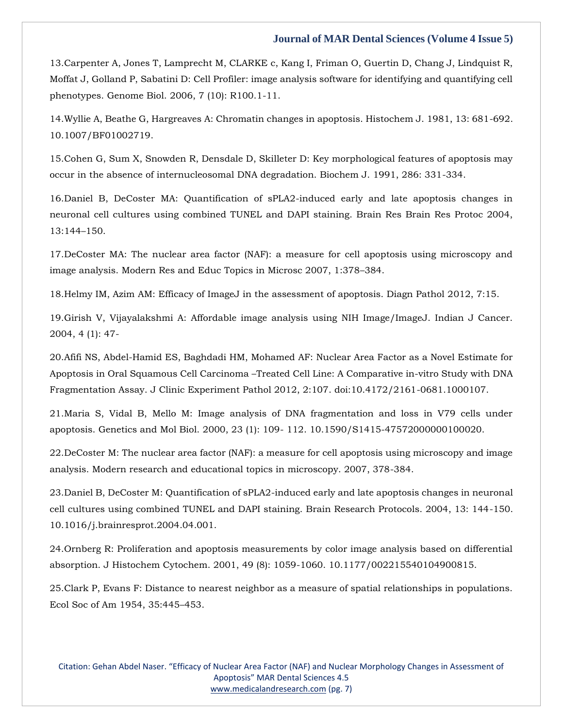13[.Carpenter A, Jones T, Lamprecht M, CLARKE c, Kang I, Friman O, Guertin D, Chang J, Lindquist R,](https://www.google.com/search?q=Cell+Profiler%3A+image+analysis+software+for+identifying+and+quantifying+cell+phenotypes&sxsrf=APq-WBuVXaRI61y6X7-oQ7x1YsNrpY7bAw%3A1643711088396&ei=cAr5YbS-F5y84-EP7J-9oAs&ved=0ahUKEwi0tqX8pN71AhUc3jgGHexPD7QQ4dUDCA4&uact=5&oq=Cell+Profiler%3A+image+analysis+software+for+identifying+and+quantifying+cell+phenotypes&gs_lcp=Cgdnd3Mtd2l6EAM6BwgjEOoCECdKBAhBGABKBAhGGABQmwVYmwVgpQdoAXACeACAAd4BiAHeAZIBAzItMZgBAKABAaABArABCsABAQ&sclient=gws-wiz)  [Moffat J, Golland P, Sabatini D: Cell Profiler: image analysis software for identifying and quantifying cell](https://www.google.com/search?q=Cell+Profiler%3A+image+analysis+software+for+identifying+and+quantifying+cell+phenotypes&sxsrf=APq-WBuVXaRI61y6X7-oQ7x1YsNrpY7bAw%3A1643711088396&ei=cAr5YbS-F5y84-EP7J-9oAs&ved=0ahUKEwi0tqX8pN71AhUc3jgGHexPD7QQ4dUDCA4&uact=5&oq=Cell+Profiler%3A+image+analysis+software+for+identifying+and+quantifying+cell+phenotypes&gs_lcp=Cgdnd3Mtd2l6EAM6BwgjEOoCECdKBAhBGABKBAhGGABQmwVYmwVgpQdoAXACeACAAd4BiAHeAZIBAzItMZgBAKABAaABArABCsABAQ&sclient=gws-wiz)  [phenotypes. Genome Biol. 2006, 7 \(10\): R100.1-11.](https://www.google.com/search?q=Cell+Profiler%3A+image+analysis+software+for+identifying+and+quantifying+cell+phenotypes&sxsrf=APq-WBuVXaRI61y6X7-oQ7x1YsNrpY7bAw%3A1643711088396&ei=cAr5YbS-F5y84-EP7J-9oAs&ved=0ahUKEwi0tqX8pN71AhUc3jgGHexPD7QQ4dUDCA4&uact=5&oq=Cell+Profiler%3A+image+analysis+software+for+identifying+and+quantifying+cell+phenotypes&gs_lcp=Cgdnd3Mtd2l6EAM6BwgjEOoCECdKBAhBGABKBAhGGABQmwVYmwVgpQdoAXACeACAAd4BiAHeAZIBAzItMZgBAKABAaABArABCsABAQ&sclient=gws-wiz)

14[.Wyllie A, Beathe G, Hargreaves A: Chromatin changes in apoptosis. Histochem J. 1981, 13: 681-692.](https://www.google.com/search?q=Chromatin+changes+in+apoptosis&sxsrf=APq-WBvdicDGJujfVQqdoC0XFVlQ5cEafQ%3A1643711108135&ei=hAr5YaPRB6LDpgeUupj4CQ&ved=0ahUKEwijo9qFpd71AhWioekKHRQdBp8Q4dUDCA4&uact=5&oq=Chromatin+changes+in+apoptosis&gs_lcp=Cgdnd3Mtd2l6EAMyBggAEBYQHjoHCCMQ6gIQJ0oECEEYAEoECEYYAFD9BFj9BGCRB2gBcAJ4AIABhQKIAYUCkgEDMi0xmAEAoAEBoAECsAEKwAEB&sclient=gws-wiz)  [10.1007/BF01002719.](https://www.google.com/search?q=Chromatin+changes+in+apoptosis&sxsrf=APq-WBvdicDGJujfVQqdoC0XFVlQ5cEafQ%3A1643711108135&ei=hAr5YaPRB6LDpgeUupj4CQ&ved=0ahUKEwijo9qFpd71AhWioekKHRQdBp8Q4dUDCA4&uact=5&oq=Chromatin+changes+in+apoptosis&gs_lcp=Cgdnd3Mtd2l6EAMyBggAEBYQHjoHCCMQ6gIQJ0oECEEYAEoECEYYAFD9BFj9BGCRB2gBcAJ4AIABhQKIAYUCkgEDMi0xmAEAoAEBoAECsAEKwAEB&sclient=gws-wiz)

15[.Cohen G, Sum X, Snowden R, Densdale D, Skilleter D: Key morphological features of apoptosis may](https://www.google.com/search?q=Key+morphological+features+of+apoptosis+may+occur+in+the+absence+of+internucleosomal+DNA+degradation&sxsrf=APq-WBse64TpMmTX_DRFpkJOlnG1hUvi4A%3A1643711122240&ei=kgr5YbCEDsj0juMPx42EQA&ved=0ahUKEwiwlbeMpd71AhVIumMGHccGAQgQ4dUDCA4&uact=5&oq=Key+morphological+features+of+apoptosis+may+occur+in+the+absence+of+internucleosomal+DNA+degradation&gs_lcp=Cgdnd3Mtd2l6EAM6BwgjEOoCECdKBAhBGABKBAhGGABQvAVYvAVg3wdoAXACeACAAfcBiAH3AZIBAzItMZgBAKABAaABArABCsABAQ&sclient=gws-wiz)  [occur in the absence of internucleosomal DNA degradation. Biochem J. 1991, 286: 331-334.](https://www.google.com/search?q=Key+morphological+features+of+apoptosis+may+occur+in+the+absence+of+internucleosomal+DNA+degradation&sxsrf=APq-WBse64TpMmTX_DRFpkJOlnG1hUvi4A%3A1643711122240&ei=kgr5YbCEDsj0juMPx42EQA&ved=0ahUKEwiwlbeMpd71AhVIumMGHccGAQgQ4dUDCA4&uact=5&oq=Key+morphological+features+of+apoptosis+may+occur+in+the+absence+of+internucleosomal+DNA+degradation&gs_lcp=Cgdnd3Mtd2l6EAM6BwgjEOoCECdKBAhBGABKBAhGGABQvAVYvAVg3wdoAXACeACAAfcBiAH3AZIBAzItMZgBAKABAaABArABCsABAQ&sclient=gws-wiz)

16[.Daniel B, DeCoster MA: Quantification of sPLA2-induced early and late apoptosis changes in](https://www.google.com/search?q=Quantification+of+sPLA2-induced+early+and+late+apoptosis+changes+in+neuronal+cell+cultures+using+combined+TUNEL+and+DAPI+staining&sxsrf=APq-WBuf4x5Bfq55bVy-HgbRnB-Z-TuRgg%3A1643711140016&ei=pAr5YaImwpbj4Q_hvLmYAQ&ved=0ahUKEwiiiPSUpd71AhVCyzgGHWFeDhMQ4dUDCA4&uact=5&oq=Quantification+of+sPLA2-induced+early+and+late+apoptosis+changes+in+neuronal+cell+cultures+using+combined+TUNEL+and+DAPI+staining&gs_lcp=Cgdnd3Mtd2l6EAMyBwgjEOoCECcyBwgjEOoCECcyBwgjEOoCECcyBwgjEOoCECcyBwgjEOoCECcyBwgjEOoCECcyBwgjEOoCECcyBwgjEOoCECcyBwgjEOoCECcyBwgjEOoCECdKBAhBGABKBAhGGABQxwVYxwVgyAdoAXAAeACAAQCIAQCSAQCYAQCgAQGgAQKwAQrAAQE&sclient=gws-wiz)  [neuronal cell cultures using combined TUNEL and DAPI staining. Brain Res Brain Res Protoc 2004,](https://www.google.com/search?q=Quantification+of+sPLA2-induced+early+and+late+apoptosis+changes+in+neuronal+cell+cultures+using+combined+TUNEL+and+DAPI+staining&sxsrf=APq-WBuf4x5Bfq55bVy-HgbRnB-Z-TuRgg%3A1643711140016&ei=pAr5YaImwpbj4Q_hvLmYAQ&ved=0ahUKEwiiiPSUpd71AhVCyzgGHWFeDhMQ4dUDCA4&uact=5&oq=Quantification+of+sPLA2-induced+early+and+late+apoptosis+changes+in+neuronal+cell+cultures+using+combined+TUNEL+and+DAPI+staining&gs_lcp=Cgdnd3Mtd2l6EAMyBwgjEOoCECcyBwgjEOoCECcyBwgjEOoCECcyBwgjEOoCECcyBwgjEOoCECcyBwgjEOoCECcyBwgjEOoCECcyBwgjEOoCECcyBwgjEOoCECcyBwgjEOoCECdKBAhBGABKBAhGGABQxwVYxwVgyAdoAXAAeACAAQCIAQCSAQCYAQCgAQGgAQKwAQrAAQE&sclient=gws-wiz)  [13:144](https://www.google.com/search?q=Quantification+of+sPLA2-induced+early+and+late+apoptosis+changes+in+neuronal+cell+cultures+using+combined+TUNEL+and+DAPI+staining&sxsrf=APq-WBuf4x5Bfq55bVy-HgbRnB-Z-TuRgg%3A1643711140016&ei=pAr5YaImwpbj4Q_hvLmYAQ&ved=0ahUKEwiiiPSUpd71AhVCyzgGHWFeDhMQ4dUDCA4&uact=5&oq=Quantification+of+sPLA2-induced+early+and+late+apoptosis+changes+in+neuronal+cell+cultures+using+combined+TUNEL+and+DAPI+staining&gs_lcp=Cgdnd3Mtd2l6EAMyBwgjEOoCECcyBwgjEOoCECcyBwgjEOoCECcyBwgjEOoCECcyBwgjEOoCECcyBwgjEOoCECcyBwgjEOoCECcyBwgjEOoCECcyBwgjEOoCECcyBwgjEOoCECdKBAhBGABKBAhGGABQxwVYxwVgyAdoAXAAeACAAQCIAQCSAQCYAQCgAQGgAQKwAQrAAQE&sclient=gws-wiz)–150.

17[.DeCoster MA: The nuclear area factor \(NAF\): a measure for cell apoptosis using microscopy and](https://www.google.com/search?q=The+nuclear+area+factor+%28NAF%29%3A+a+measure+for+cell+apoptosis+using+microscopy+and+image+analysis&sxsrf=APq-WBuzySldpFgqhSc19_aVbhEhZMKi1g%3A1643711156204&ei=tAr5YeLwC8PG4-EPjOum4Ac&ved=0ahUKEwjimtCcpd71AhVD4zgGHYy1CXwQ4dUDCA4&uact=5&oq=The+nuclear+area+factor+%28NAF%29%3A+a+measure+for+cell+apoptosis+using+microscopy+and+image+analysis&gs_lcp=Cgdnd3Mtd2l6EAM6BwgjEOoCECdKBAhBGABKBAhGGABQrAVYrAVg0gdoAXAAeACAAfEBiAHxAZIBAzItMZgBAKABAaABArABCsABAQ&sclient=gws-wiz)  [image analysis. Modern Res and Educ Topics in Microsc 2007, 1:378](https://www.google.com/search?q=The+nuclear+area+factor+%28NAF%29%3A+a+measure+for+cell+apoptosis+using+microscopy+and+image+analysis&sxsrf=APq-WBuzySldpFgqhSc19_aVbhEhZMKi1g%3A1643711156204&ei=tAr5YeLwC8PG4-EPjOum4Ac&ved=0ahUKEwjimtCcpd71AhVD4zgGHYy1CXwQ4dUDCA4&uact=5&oq=The+nuclear+area+factor+%28NAF%29%3A+a+measure+for+cell+apoptosis+using+microscopy+and+image+analysis&gs_lcp=Cgdnd3Mtd2l6EAM6BwgjEOoCECdKBAhBGABKBAhGGABQrAVYrAVg0gdoAXAAeACAAfEBiAHxAZIBAzItMZgBAKABAaABArABCsABAQ&sclient=gws-wiz)–384.

18[.Helmy IM, Azim AM: Efficacy of ImageJ in the assessment of apoptosis. Diagn Pathol 2012, 7:15.](https://www.google.com/search?q=Efficacy+of+ImageJ+in+the+assessment+of+apoptosis&sxsrf=APq-WBuDM_Cb0PNOo22uGJLHhsgO_eMmnA%3A1643711172151&ei=xAr5YaXUCLaD4-EPiaq6gAs&ved=0ahUKEwilxp2kpd71AhW2wTgGHQmVDrAQ4dUDCA4&uact=5&oq=Efficacy+of+ImageJ+in+the+assessment+of+apoptosis&gs_lcp=Cgdnd3Mtd2l6EAMyBwgjEOoCECcyBwgjEOoCECcyBwgjEOoCECcyBwgjEOoCECcyBwgjEOoCECcyBwgjEOoCECcyBwgjEOoCECcyBwgjEOoCECcyBwgjEOoCECcyBwgjEOoCECdKBAhBGABKBAhGGABQ9gRY9gRg_gZoAXAAeACAAQCIAQCSAQCYAQCgAQGgAQKwAQrAAQE&sclient=gws-wiz)

19[.Girish V, Vijayalakshmi A: Affordable image analysis using NIH Image/ImageJ. Indian J Cancer.](https://www.google.com/search?q=Affordable+image+analysis+using+NIH+Image%2FImageJ&sxsrf=APq-WBsWVoYNU6pUwjppkILB5UDz66HBBw%3A1643711187174&ei=0wr5YfeQCuiS4-EPtbqTuAE&ved=0ahUKEwi3xrKrpd71AhVoyTgGHTXdBBcQ4dUDCA4&uact=5&oq=Affordable+image+analysis+using+NIH+Image%2FImageJ&gs_lcp=Cgdnd3Mtd2l6EAMyBwgjEOoCECcyBwgjEOoCECcyBwgjEOoCECcyBwgjEOoCECcyBwgjEOoCECcyBwgjEOoCECcyBwgjEOoCECcyBwgjEOoCECcyBwgjEOoCECcyBwgjEOoCECdKBAhBGABKBAhGGABQjwRYjwRg_wVoAXAAeACAAQCIAQCSAQCYAQCgAQGgAQKwAQrAAQE&sclient=gws-wiz)  [2004, 4 \(1\): 47-](https://www.google.com/search?q=Affordable+image+analysis+using+NIH+Image%2FImageJ&sxsrf=APq-WBsWVoYNU6pUwjppkILB5UDz66HBBw%3A1643711187174&ei=0wr5YfeQCuiS4-EPtbqTuAE&ved=0ahUKEwi3xrKrpd71AhVoyTgGHTXdBBcQ4dUDCA4&uact=5&oq=Affordable+image+analysis+using+NIH+Image%2FImageJ&gs_lcp=Cgdnd3Mtd2l6EAMyBwgjEOoCECcyBwgjEOoCECcyBwgjEOoCECcyBwgjEOoCECcyBwgjEOoCECcyBwgjEOoCECcyBwgjEOoCECcyBwgjEOoCECcyBwgjEOoCECcyBwgjEOoCECdKBAhBGABKBAhGGABQjwRYjwRg_wVoAXAAeACAAQCIAQCSAQCYAQCgAQGgAQKwAQrAAQE&sclient=gws-wiz)

20[.Afifi NS, Abdel-Hamid ES, Baghdadi HM, Mohamed AF: Nuclear Area Factor as a Novel Estimate for](https://www.google.com/search?q=Nuclear+Area+Factor+as+a+Novel+Estimate+for+Apoptosis+in+Oral+Squamous+Cell+Carcinoma+%E2%80%93Treated+Cell+Line%3A+A+Comparative+in-vitro+Study+with+DNA+Fragmentation+Assay&sxsrf=APq-WBuSZ4W5yHpRLuzgMfxNvj3dOyVSsA%3A1643711208165&ei=6Ar5YfmcCePH4-EP1pq--Ao&ved=0ahUKEwj5sLO1pd71AhXj4zgGHVaND68Q4dUDCA4&uact=5&oq=Nuclear+Area+Factor+as+a+Novel+Estimate+for+Apoptosis+in+Oral+Squamous+Cell+Carcinoma+%E2%80%93Treated+Cell+Line%3A+A+Comparative+in-vitro+Study+with+DNA+Fragmentation+Assay&gs_lcp=Cgdnd3Mtd2l6EAMyBwgjEOoCECcyBwgjEOoCECcyBwgjEOoCECcyBwgjEOoCECcyBwgjEOoCECcyBwgjEOoCECcyBwgjEOoCECcyBwgjEOoCECcyBwgjEOoCECcyBwgjEOoCECdKBAhBGABKBAhGGABQ9gZY9gZg-gpoAXAAeACAAQCIAQCSAQCYAQCgAQGgAQKwAQrAAQE&sclient=gws-wiz)  Apoptosis in Oral Squamous Cell Carcinoma –[Treated Cell Line: A Comparative in-vitro Study with DNA](https://www.google.com/search?q=Nuclear+Area+Factor+as+a+Novel+Estimate+for+Apoptosis+in+Oral+Squamous+Cell+Carcinoma+%E2%80%93Treated+Cell+Line%3A+A+Comparative+in-vitro+Study+with+DNA+Fragmentation+Assay&sxsrf=APq-WBuSZ4W5yHpRLuzgMfxNvj3dOyVSsA%3A1643711208165&ei=6Ar5YfmcCePH4-EP1pq--Ao&ved=0ahUKEwj5sLO1pd71AhXj4zgGHVaND68Q4dUDCA4&uact=5&oq=Nuclear+Area+Factor+as+a+Novel+Estimate+for+Apoptosis+in+Oral+Squamous+Cell+Carcinoma+%E2%80%93Treated+Cell+Line%3A+A+Comparative+in-vitro+Study+with+DNA+Fragmentation+Assay&gs_lcp=Cgdnd3Mtd2l6EAMyBwgjEOoCECcyBwgjEOoCECcyBwgjEOoCECcyBwgjEOoCECcyBwgjEOoCECcyBwgjEOoCECcyBwgjEOoCECcyBwgjEOoCECcyBwgjEOoCECcyBwgjEOoCECdKBAhBGABKBAhGGABQ9gZY9gZg-gpoAXAAeACAAQCIAQCSAQCYAQCgAQGgAQKwAQrAAQE&sclient=gws-wiz)  [Fragmentation Assay. J Clinic Experiment Pathol 2012, 2:107. doi:10.4172/2161-0681.1000107.](https://www.google.com/search?q=Nuclear+Area+Factor+as+a+Novel+Estimate+for+Apoptosis+in+Oral+Squamous+Cell+Carcinoma+%E2%80%93Treated+Cell+Line%3A+A+Comparative+in-vitro+Study+with+DNA+Fragmentation+Assay&sxsrf=APq-WBuSZ4W5yHpRLuzgMfxNvj3dOyVSsA%3A1643711208165&ei=6Ar5YfmcCePH4-EP1pq--Ao&ved=0ahUKEwj5sLO1pd71AhXj4zgGHVaND68Q4dUDCA4&uact=5&oq=Nuclear+Area+Factor+as+a+Novel+Estimate+for+Apoptosis+in+Oral+Squamous+Cell+Carcinoma+%E2%80%93Treated+Cell+Line%3A+A+Comparative+in-vitro+Study+with+DNA+Fragmentation+Assay&gs_lcp=Cgdnd3Mtd2l6EAMyBwgjEOoCECcyBwgjEOoCECcyBwgjEOoCECcyBwgjEOoCECcyBwgjEOoCECcyBwgjEOoCECcyBwgjEOoCECcyBwgjEOoCECcyBwgjEOoCECcyBwgjEOoCECdKBAhBGABKBAhGGABQ9gZY9gZg-gpoAXAAeACAAQCIAQCSAQCYAQCgAQGgAQKwAQrAAQE&sclient=gws-wiz)

21[.Maria S, Vidal B, Mello M: Image analysis of DNA fragmentation and loss in V79 cells under](https://www.google.com/search?q=Image+analysis+of+DNA+fragmentation+and+loss+in+V79+cells+under+apoptosis&sxsrf=APq-WBullBz3zWavnXH83OVXLxzOQuHQ0w%3A1643711228074&ei=_Ar5YczvA-KP4-EP4cK2mA4&ved=0ahUKEwjM3fK-pd71AhXixzgGHWGhDeMQ4dUDCA4&uact=5&oq=Image+analysis+of+DNA+fragmentation+and+loss+in+V79+cells+under+apoptosis&gs_lcp=Cgdnd3Mtd2l6EAM6BwgjEOoCECdKBAhBGABKBAhGGABQhgVYhgVgqQdoAXAAeACAAesBiAHrAZIBAzItMZgBAKABAaABArABCsABAQ&sclient=gws-wiz)  [apoptosis. Genetics and Mol Biol. 2000, 23 \(1\): 109-](https://www.google.com/search?q=Image+analysis+of+DNA+fragmentation+and+loss+in+V79+cells+under+apoptosis&sxsrf=APq-WBullBz3zWavnXH83OVXLxzOQuHQ0w%3A1643711228074&ei=_Ar5YczvA-KP4-EP4cK2mA4&ved=0ahUKEwjM3fK-pd71AhXixzgGHWGhDeMQ4dUDCA4&uact=5&oq=Image+analysis+of+DNA+fragmentation+and+loss+in+V79+cells+under+apoptosis&gs_lcp=Cgdnd3Mtd2l6EAM6BwgjEOoCECdKBAhBGABKBAhGGABQhgVYhgVgqQdoAXAAeACAAesBiAHrAZIBAzItMZgBAKABAaABArABCsABAQ&sclient=gws-wiz) 112. 10.1590/S1415-47572000000100020.

22[.DeCoster M: The nuclear area factor \(NAF\): a measure for cell apoptosis using microscopy and image](https://www.google.com/search?q=The+nuclear+area+factor+%28NAF%29%3A+a+measure+for+cell+apoptosis+using+microscopy+and+image+analysis&sxsrf=APq-WBv3gNsVZEjIYJ5rSxYjsBoXjrsJ6w%3A1643711248641&ei=EAv5YdygJpib4-EPtuiTqAM&ved=0ahUKEwjc6NnIpd71AhWYzTgGHTb0BDUQ4dUDCA4&uact=5&oq=The+nuclear+area+factor+%28NAF%29%3A+a+measure+for+cell+apoptosis+using+microscopy+and+image+analysis&gs_lcp=Cgdnd3Mtd2l6EAMyBAgjECc6BwgjEOoCECdKBAhBGABKBAhGGABQ8AZY8AZgogloAXAAeACAAfoBiAH6AZIBAzItMZgBAKABAaABArABCsABAQ&sclient=gws-wiz)  [analysis. Modern research and educational topics in microscopy. 2007, 378-384.](https://www.google.com/search?q=The+nuclear+area+factor+%28NAF%29%3A+a+measure+for+cell+apoptosis+using+microscopy+and+image+analysis&sxsrf=APq-WBv3gNsVZEjIYJ5rSxYjsBoXjrsJ6w%3A1643711248641&ei=EAv5YdygJpib4-EPtuiTqAM&ved=0ahUKEwjc6NnIpd71AhWYzTgGHTb0BDUQ4dUDCA4&uact=5&oq=The+nuclear+area+factor+%28NAF%29%3A+a+measure+for+cell+apoptosis+using+microscopy+and+image+analysis&gs_lcp=Cgdnd3Mtd2l6EAMyBAgjECc6BwgjEOoCECdKBAhBGABKBAhGGABQ8AZY8AZgogloAXAAeACAAfoBiAH6AZIBAzItMZgBAKABAaABArABCsABAQ&sclient=gws-wiz)

23[.Daniel B, DeCoster M: Quantification of sPLA2-induced early and late apoptosis changes in neuronal](https://www.google.com/search?q=Quantification+of+sPLA2-induced+early+and+late+apoptosis+changes+in+neuronal+cell+cultures+using+combined+TUNEL+and+DAPI+staining&sxsrf=APq-WBuDM_Cb0PNOo22uGJLHhsgO_eMmnA%3A1643711172151&ei=xAr5YaXUCLaD4-EPiaq6gAs&ved=0ahUKEwilxp2kpd71AhW2wTgGHQmVDrAQ4dUDCA4&uact=5&oq=Quantification+of+sPLA2-induced+early+and+late+apoptosis+changes+in+neuronal+cell+cultures+using+combined+TUNEL+and+DAPI+staining&gs_lcp=Cgdnd3Mtd2l6EAMyBwgjEOoCECcyBwgjEOoCECcyBwgjEOoCECcyBwgjEOoCECcyBwgjEOoCECcyBwgjEOoCECcyBwgjEOoCECcyBwgjEOoCECcyBwgjEOoCECcyBwgjEOoCECdKBAhBGABKBAhGGABQ3gVY3gVg_gdoAXAAeACAAQCIAQCSAQCYAQCgAQGgAQKwAQrAAQE&sclient=gws-wiz)  [cell cultures using combined TUNEL and DAPI staining. Brain Research Protocols. 2004, 13: 144-150.](https://www.google.com/search?q=Quantification+of+sPLA2-induced+early+and+late+apoptosis+changes+in+neuronal+cell+cultures+using+combined+TUNEL+and+DAPI+staining&sxsrf=APq-WBuDM_Cb0PNOo22uGJLHhsgO_eMmnA%3A1643711172151&ei=xAr5YaXUCLaD4-EPiaq6gAs&ved=0ahUKEwilxp2kpd71AhW2wTgGHQmVDrAQ4dUDCA4&uact=5&oq=Quantification+of+sPLA2-induced+early+and+late+apoptosis+changes+in+neuronal+cell+cultures+using+combined+TUNEL+and+DAPI+staining&gs_lcp=Cgdnd3Mtd2l6EAMyBwgjEOoCECcyBwgjEOoCECcyBwgjEOoCECcyBwgjEOoCECcyBwgjEOoCECcyBwgjEOoCECcyBwgjEOoCECcyBwgjEOoCECcyBwgjEOoCECcyBwgjEOoCECdKBAhBGABKBAhGGABQ3gVY3gVg_gdoAXAAeACAAQCIAQCSAQCYAQCgAQGgAQKwAQrAAQE&sclient=gws-wiz)  [10.1016/j.brainresprot.2004.04.001.](https://www.google.com/search?q=Quantification+of+sPLA2-induced+early+and+late+apoptosis+changes+in+neuronal+cell+cultures+using+combined+TUNEL+and+DAPI+staining&sxsrf=APq-WBuDM_Cb0PNOo22uGJLHhsgO_eMmnA%3A1643711172151&ei=xAr5YaXUCLaD4-EPiaq6gAs&ved=0ahUKEwilxp2kpd71AhW2wTgGHQmVDrAQ4dUDCA4&uact=5&oq=Quantification+of+sPLA2-induced+early+and+late+apoptosis+changes+in+neuronal+cell+cultures+using+combined+TUNEL+and+DAPI+staining&gs_lcp=Cgdnd3Mtd2l6EAMyBwgjEOoCECcyBwgjEOoCECcyBwgjEOoCECcyBwgjEOoCECcyBwgjEOoCECcyBwgjEOoCECcyBwgjEOoCECcyBwgjEOoCECcyBwgjEOoCECcyBwgjEOoCECdKBAhBGABKBAhGGABQ3gVY3gVg_gdoAXAAeACAAQCIAQCSAQCYAQCgAQGgAQKwAQrAAQE&sclient=gws-wiz)

24[.Ornberg R: Proliferation and apoptosis measurements by color image analysis based on differential](https://www.google.com/search?q=Proliferation+and+apoptosis+measurements+by+color+image+analysis+based+on+differential+absorption&sxsrf=APq-WBuzySldpFgqhSc19_aVbhEhZMKi1g%3A1643711156204&ei=tAr5YeLwC8PG4-EPjOum4Ac&ved=0ahUKEwjimtCcpd71AhVD4zgGHYy1CXwQ4dUDCA4&uact=5&oq=Proliferation+and+apoptosis+measurements+by+color+image+analysis+based+on+differential+absorption&gs_lcp=Cgdnd3Mtd2l6EAM6BwgjEOoCECdKBAhBGABKBAhGGABQywVYywVg7QdoAXAAeACAAYICiAGCApIBAzItMZgBAKABAaABArABCsABAQ&sclient=gws-wiz)  [absorption. J Histochem Cytochem. 2001, 49 \(8\): 1059-1060. 10.1177/002215540104900815.](https://www.google.com/search?q=Proliferation+and+apoptosis+measurements+by+color+image+analysis+based+on+differential+absorption&sxsrf=APq-WBuzySldpFgqhSc19_aVbhEhZMKi1g%3A1643711156204&ei=tAr5YeLwC8PG4-EPjOum4Ac&ved=0ahUKEwjimtCcpd71AhVD4zgGHYy1CXwQ4dUDCA4&uact=5&oq=Proliferation+and+apoptosis+measurements+by+color+image+analysis+based+on+differential+absorption&gs_lcp=Cgdnd3Mtd2l6EAM6BwgjEOoCECdKBAhBGABKBAhGGABQywVYywVg7QdoAXAAeACAAYICiAGCApIBAzItMZgBAKABAaABArABCsABAQ&sclient=gws-wiz)

25[.Clark P, Evans F: Distance to nearest neighbor as a measure of spatial relationships in populations.](https://www.google.com/search?q=Distance+to+nearest+neighbor+as+a+measure+of+spatial+relationships+in+populations&sxsrf=APq-WBtvwdWoSDOw-As7aCsa90eqsCH-Fw%3A1643711314568&ei=Ugv5Yfn8Id6V4-EP5baisAw&ved=0ahUKEwj57ZHopd71AhXeyjgGHWWbCMYQ4dUDCA4&uact=5&oq=Distance+to+nearest+neighbor+as+a+measure+of+spatial+relationships+in+populations&gs_lcp=Cgdnd3Mtd2l6EAMyBQgAEIAEOgcIIxDqAhAnSgQIQRgASgQIRhgAUI8FWI8FYOQHaAFwAHgAgAGQAogBkAKSAQMyLTGYAQCgAQGgAQKwAQrAAQE&sclient=gws-wiz)  [Ecol Soc of Am 1954, 35:445](https://www.google.com/search?q=Distance+to+nearest+neighbor+as+a+measure+of+spatial+relationships+in+populations&sxsrf=APq-WBtvwdWoSDOw-As7aCsa90eqsCH-Fw%3A1643711314568&ei=Ugv5Yfn8Id6V4-EP5baisAw&ved=0ahUKEwj57ZHopd71AhXeyjgGHWWbCMYQ4dUDCA4&uact=5&oq=Distance+to+nearest+neighbor+as+a+measure+of+spatial+relationships+in+populations&gs_lcp=Cgdnd3Mtd2l6EAMyBQgAEIAEOgcIIxDqAhAnSgQIQRgASgQIRhgAUI8FWI8FYOQHaAFwAHgAgAGQAogBkAKSAQMyLTGYAQCgAQGgAQKwAQrAAQE&sclient=gws-wiz)–453.

Citation: Gehan Abdel Naser. "Efficacy of Nuclear Area Factor (NAF) and Nuclear Morphology Changes in Assessment of Apoptosis" MAR Dental Sciences 4.5 [www.medicalandresearch.com](http://www.medicalandresearch.com/) (pg. 7)